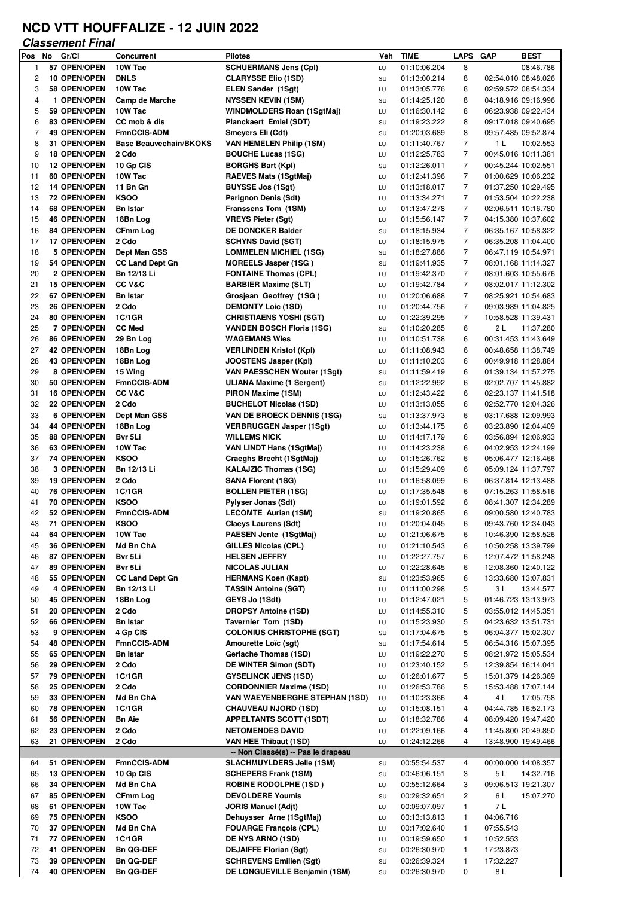## **NCD VTT HOUFFALIZE - 12 JUIN 2022**

## **Classement Final**

| Pos            | No | Gr/Cl                               | <b>Concurrent</b>             | <b>Pilotes</b>                                                     | Veh      | <b>TIME</b>                  | <b>LAPS</b>         | <b>GAP</b> | <b>BEST</b>                                |
|----------------|----|-------------------------------------|-------------------------------|--------------------------------------------------------------------|----------|------------------------------|---------------------|------------|--------------------------------------------|
| 1              |    | 57 OPEN/OPEN                        | 10W Tac                       | <b>SCHUERMANS Jens (CpI)</b>                                       | LU       | 01:10:06.204                 | 8                   |            | 08:46.786                                  |
| $\overline{c}$ |    | 10 OPEN/OPEN                        | <b>DNLS</b>                   | <b>CLARYSSE Elio (1SD)</b>                                         | SU       | 01:13:00.214                 | 8                   |            | 02:54.010 08:48.026                        |
| 3              |    | 58 OPEN/OPEN                        | 10W Tac                       | <b>ELEN Sander (1Sgt)</b>                                          | LU       | 01:13:05.776                 | 8                   |            | 02:59.572 08:54.334                        |
| 4              |    | 1 OPEN/OPEN                         | Camp de Marche                | <b>NYSSEN KEVIN (1SM)</b>                                          | SU       | 01:14:25.120                 | 8                   |            | 04:18.916 09:16.996                        |
| 5              |    | 59 OPEN/OPEN                        | 10W Tac                       | WINDMOLDERS Roan (1SgtMaj)                                         | LU       | 01:16:30.142                 | 8                   |            | 06:23.938 09:22.434                        |
| 6              |    | <b>83 OPEN/OPEN</b>                 | CC mob & dis                  | Planckaert Emiel (SDT)                                             | SU       | 01:19:23.222                 | 8                   |            | 09:17.018 09:40.695                        |
| 7              |    | <b>49 OPEN/OPEN</b>                 | <b>FmnCCIS-ADM</b>            | Smeyers Eli (Cdt)                                                  | SU       | 01:20:03.689                 | 8                   |            | 09:57.485 09:52.874                        |
| 8              |    | 31 OPEN/OPEN                        | <b>Base Beauvechain/BKOKS</b> | <b>VAN HEMELEN Philip (1SM)</b>                                    | LU       | 01:11:40.767                 | $\overline{7}$      | 1 L        | 10:02.553                                  |
| 9              |    | <b>18 OPEN/OPEN</b>                 | 2 Cdo                         | <b>BOUCHE Lucas (1SG)</b>                                          | LU       | 01:12:25.783                 | $\overline{7}$      |            | 00:45.016 10:11.381                        |
| 10             |    | <b>12 OPEN/OPEN</b>                 | 10 Gp CIS                     | <b>BORGHS Bart (Kpl)</b>                                           | SU       | 01:12:26.011                 | $\overline{7}$      |            | 00:45.244 10:02.551                        |
| 11             |    | 60 OPEN/OPEN                        | 10W Tac                       | RAEVES Mats (1SgtMaj)                                              | LU       | 01:12:41.396                 | 7                   |            | 01:00.629 10:06.232                        |
| 12             |    | 14 OPEN/OPEN                        | 11 Bn Gn                      | <b>BUYSSE Jos (1Sgt)</b>                                           | LU       | 01:13:18.017                 | $\overline{7}$      |            | 01:37.250 10:29.495                        |
| 13             |    | 72 OPEN/OPEN                        | <b>KSOO</b>                   | Perignon Denis (Sdt)                                               | LU       | 01:13:34.271                 | $\overline{7}$      |            | 01:53.504 10:22.238                        |
| 14             |    | 68 OPEN/OPEN                        | <b>Bn Istar</b>               | Franssens Tom (1SM)                                                | LU       | 01:13:47.278                 | 7                   |            | 02:06.511 10:16.780                        |
| 15             |    | <b>46 OPEN/OPEN</b>                 | 18Bn Log                      | <b>VREYS Pieter (Sgt)</b>                                          | LU       | 01:15:56.147                 | $\overline{7}$      |            | 04:15.380 10:37.602                        |
| 16             |    | 84 OPEN/OPEN                        | <b>CFmm Log</b>               | <b>DE DONCKER Balder</b>                                           | SU       | 01:18:15.934                 | $\overline{7}$      |            | 06:35.167 10:58.322                        |
| 17             |    | <b>17 OPEN/OPEN</b>                 | 2 Cdo                         | SCHYNS David (SGT)                                                 | LU       | 01:18:15.975                 | 7                   |            | 06:35.208 11:04.400                        |
| 18             |    | 5 OPEN/OPEN                         | Dept Man GSS                  | <b>LOMMELEN MICHIEL (1SG)</b>                                      | SU       | 01:18:27.886                 | $\overline{7}$      |            | 06:47.119 10:54.971                        |
| 19             |    | 54 OPEN/OPEN                        | <b>CC Land Dept Gn</b>        | <b>MOREELS Jasper (1SG)</b>                                        | SU       | 01:19:41.935                 | $\overline{7}$      |            | 08:01.168 11:14.327                        |
| 20             |    | 2 OPEN/OPEN                         | <b>Bn 12/13 Li</b>            | <b>FONTAINE Thomas (CPL)</b>                                       | LU       | 01:19:42.370                 | $\overline{7}$      |            | 08:01.603 10:55.676                        |
| 21             |    | <b>15 OPEN/OPEN</b><br>67 OPEN/OPEN | CC V&C                        | <b>BARBIER Maxime (SLT)</b>                                        | LU       | 01:19:42.784                 | 7<br>$\overline{7}$ |            | 08:02.017 11:12.302                        |
| 22<br>23       |    | 26 OPEN/OPEN                        | <b>Bn Istar</b><br>2 Cdo      | Grosjean Geoffrey (1SG)                                            | LU       | 01:20:06.688<br>01:20:44.756 | $\overline{7}$      |            | 08:25.921 10:54.683                        |
| 24             |    |                                     | 1C/1GR                        | <b>DEMONTY Loic (1SD)</b>                                          | LU       |                              | $\overline{7}$      |            | 09:03.989 11:04.825                        |
| 25             |    | 80 OPEN/OPEN<br>7 OPEN/OPEN         | <b>CC Med</b>                 | <b>CHRISTIAENS YOSHI (SGT)</b><br><b>VANDEN BOSCH Floris (1SG)</b> | LU       | 01:22:39.295                 | 6                   | 2 L        | 10:58.528 11:39.431                        |
| 26             |    | 86 OPEN/OPEN                        | 29 Bn Log                     | <b>WAGEMANS Wies</b>                                               | SU<br>LU | 01:10:20.285<br>01:10:51.738 | 6                   |            | 11:37.280<br>00:31.453 11:43.649           |
| 27             |    | <b>42 OPEN/OPEN</b>                 | 18Bn Log                      | <b>VERLINDEN Kristof (Kpl)</b>                                     | LU       | 01:11:08.943                 | 6                   |            | 00:48.658 11:38.749                        |
| 28             |    | 43 OPEN/OPEN                        | 18Bn Log                      |                                                                    |          | 01:11:10.203                 | 6                   |            | 00:49.918 11:28.884                        |
| 29             |    | 8 OPEN/OPEN                         | 15 Wing                       | JOOSTENS Jasper (Kpl)<br><b>VAN PAESSCHEN Wouter (1Sgt)</b>        | LU<br>SU | 01:11:59.419                 | 6                   |            | 01:39.134 11:57.275                        |
| 30             |    | 50 OPEN/OPEN                        | <b>FmnCCIS-ADM</b>            | <b>ULIANA Maxime (1 Sergent)</b>                                   | SU       | 01:12:22.992                 | 6                   |            | 02:02.707 11:45.882                        |
| 31             |    | <b>16 OPEN/OPEN</b>                 | CC V&C                        | PIRON Maxime (1SM)                                                 | LU       | 01:12:43.422                 | 6                   |            | 02:23.137 11:41.518                        |
| 32             |    | <b>22 OPEN/OPEN</b>                 | 2 Cdo                         | <b>BUCHELOT Nicolas (1SD)</b>                                      | LU       | 01:13:13.055                 | 6                   |            | 02:52.770 12:04.326                        |
| 33             |    | <b>6 OPEN/OPEN</b>                  | Dept Man GSS                  | <b>VAN DE BROECK DENNIS (1SG)</b>                                  | SU       | 01:13:37.973                 | 6                   |            | 03:17.688 12:09.993                        |
| 34             |    | <b>44 OPEN/OPEN</b>                 | 18Bn Log                      | <b>VERBRUGGEN Jasper (1Sgt)</b>                                    | LU       | 01:13:44.175                 | 6                   |            | 03:23.890 12:04.409                        |
| 35             |    | 88 OPEN/OPEN                        | Bvr 5Li                       | <b>WILLEMS NICK</b>                                                | LU       | 01:14:17.179                 | 6                   |            | 03:56.894 12:06.933                        |
| 36             |    | 63 OPEN/OPEN                        | 10W Tac                       | <b>VAN LINDT Hans (1SgtMaj)</b>                                    | LU       | 01:14:23.238                 | 6                   |            | 04:02.953 12:24.199                        |
| 37             |    | 74 OPEN/OPEN                        | <b>KSOO</b>                   | Craeghs Brecht (1SgtMaj)                                           | LU       | 01:15:26.762                 | 6                   |            | 05:06.477 12:16.466                        |
| 38             |    | 3 OPEN/OPEN                         | Bn 12/13 Li                   | <b>KALAJZIC Thomas (1SG)</b>                                       | LU       | 01:15:29.409                 | 6                   |            | 05:09.124 11:37.797                        |
| 39             |    | <b>19 OPEN/OPEN</b>                 | 2 Cdo                         | SANA Florent (1SG)                                                 | LU       | 01:16:58.099                 | 6                   |            | 06:37.814 12:13.488                        |
| 40             |    | 76 OPEN/OPEN                        | 1C/1GR                        | <b>BOLLEN PIETER (1SG)</b>                                         | LU       | 01:17:35.548                 | 6                   |            | 07:15.263 11:58.516                        |
| 41             |    | 70 OPEN/OPEN                        | <b>KSOO</b>                   | Pylyser Jonas (Sdt)                                                | LU       | 01:19:01.592                 | 6                   |            | 08:41.307 12:34.289                        |
| 42             |    | 52 OPEN/OPEN                        | <b>FmnCCIS-ADM</b>            | <b>LECOMTE Aurian (1SM)</b>                                        | SU       | 01:19:20.865                 | 6                   |            | 09:00.580 12:40.783                        |
| 43             |    | <b>71 OPEN/OPEN</b>                 | <b>KSOO</b>                   | <b>Claeys Laurens (Sdt)</b>                                        | LU       | 01:20:04.045                 | 6                   |            | 09:43.760 12:34.043                        |
| 44             |    | 64 OPEN/OPEN                        | 10W Tac                       | PAESEN Jente (1SgtMaj)                                             | LU       | 01:21:06.675                 | 6                   |            | 10:46.390 12:58.526                        |
| 45             |    | 36 OPEN/OPEN                        | Md Bn ChA                     | <b>GILLES Nicolas (CPL)</b>                                        | LU       | 01:21:10.543                 | 6                   |            | 10:50.258 13:39.799                        |
| 46             |    | 87 OPEN/OPEN                        | Bvr 5Li                       | <b>HELSEN JEFFRY</b>                                               | LU       | 01:22:27.757                 | 6                   |            | 12:07.472 11:58.248                        |
| 47             |    | 89 OPEN/OPEN                        | Bvr 5Li                       | NICOLAS JULIAN                                                     | LU       | 01:22:28.645                 | 6                   |            | 12:08.360 12:40.122                        |
| 48             |    | 55 OPEN/OPEN                        | <b>CC Land Dept Gn</b>        | <b>HERMANS Koen (Kapt)</b>                                         | SU       | 01:23:53.965                 | 6                   |            | 13:33.680 13:07.831                        |
| 49             |    | 4 OPEN/OPEN                         | Bn 12/13 Li                   | <b>TASSIN Antoine (SGT)</b>                                        | LU       | 01:11:00.298                 | 5                   | 3 L        | 13:44.577                                  |
| 50             |    | <b>45 OPEN/OPEN</b>                 | 18Bn Log                      | GEYS Jo (1Sdt)                                                     | LU       | 01:12:47.021                 | 5                   |            | 01:46.723 13:13.973                        |
| 51             |    | 20 OPEN/OPEN                        | 2 Cdo                         | <b>DROPSY Antoine (1SD)</b>                                        | LU       | 01:14:55.310                 | 5                   |            | 03:55.012 14:45.351                        |
| 52             |    | 66 OPEN/OPEN                        | <b>Bn Istar</b>               | Tavernier Tom (1SD)                                                | LU       | 01:15:23.930                 | 5                   |            | 04:23.632 13:51.731                        |
| 53             |    | 9 OPEN/OPEN                         | 4 Gp CIS                      | <b>COLONIUS CHRISTOPHE (SGT)</b>                                   | SU       | 01:17:04.675                 | 5                   |            | 06:04.377 15:02.307                        |
| 54             |    | <b>48 OPEN/OPEN</b>                 | FmnCCIS-ADM                   | Amourette Loïc (sgt)                                               | SU       | 01:17:54.614                 | 5                   |            | 06:54.316 15:07.395                        |
| 55             |    | 65 OPEN/OPEN                        | <b>Bn Istar</b>               | Gerlache Thomas (1SD)                                              | LU       | 01:19:22.270                 | 5                   |            | 08:21.972 15:05.534                        |
| 56             |    | 29 OPEN/OPEN                        | 2 Cdo                         | DE WINTER Simon (SDT)                                              | LU       | 01:23:40.152                 | 5                   |            | 12:39.854 16:14.041                        |
| 57             |    | 79 OPEN/OPEN                        | 1C/1GR                        | <b>GYSELINCK JENS (1SD)</b>                                        | LU       | 01:26:01.677                 | 5                   |            | 15:01.379 14:26.369                        |
| 58             |    | 25 OPEN/OPEN                        | 2 Cdo                         | <b>CORDONNIER Maxime (1SD)</b>                                     | LU       | 01:26:53.786                 | 5                   |            | 15:53.488 17:07.144                        |
| 59             |    | 33 OPEN/OPEN                        | Md Bn ChA                     | <b>VAN WAEYENBERGHE STEPHAN (1SD)</b>                              | LU       | 01:10:23.366                 | 4                   | 4 L        | 17:05.758                                  |
| 60             |    | <b>78 OPEN/OPEN</b>                 | 1C/1GR                        | <b>CHAUVEAU NJORD (1SD)</b>                                        | LU       | 01:15:08.151                 | 4                   |            | 04:44.785 16:52.173                        |
| 61<br>62       |    | 56 OPEN/OPEN<br>23 OPEN/OPEN        | <b>Bn Aie</b><br>2 Cdo        | <b>APPELTANTS SCOTT (1SDT)</b><br><b>NETOMENDES DAVID</b>          | LU<br>LU | 01:18:32.786<br>01:22:09.166 | 4<br>4              |            | 08:09.420 19:47.420<br>11:45.800 20:49.850 |
| 63             |    | 21 OPEN/OPEN                        | 2 Cdo                         | VAN HEE Thibaut (1SD)                                              | LU       | 01:24:12.266                 | 4                   |            | 13:48.900 19:49.466                        |
|                |    |                                     |                               | -- Non Classé(s) -- Pas le drapeau                                 |          |                              |                     |            |                                            |
| 64             |    | 51 OPEN/OPEN                        | FmnCCIS-ADM                   | <b>SLACHMUYLDERS Jelle (1SM)</b>                                   | SU       | 00:55:54.537                 | 4                   |            | 00:00.000 14:08.357                        |
| 65             |    | 13 OPEN/OPEN                        | 10 Gp CIS                     | <b>SCHEPERS Frank (1SM)</b>                                        | SU       | 00:46:06.151                 | 3                   | 5 L        | 14:32.716                                  |
| 66             |    | 34 OPEN/OPEN                        | Md Bn ChA                     | <b>ROBINE RODOLPHE (1SD)</b>                                       | LU       | 00:55:12.664                 | 3                   |            | 09:06.513 19:21.307                        |
| 67             |    | 85 OPEN/OPEN                        | <b>CFmm Log</b>               | <b>DEVOLDERE Youmis</b>                                            | SU       | 00:29:32.651                 | 2                   | 6 L        | 15:07.270                                  |
| 68             |    | 61 OPEN/OPEN                        | 10W Tac                       | JORIS Manuel (Adjt)                                                | LU       | 00:09:07.097                 | $\mathbf{1}$        | 7 L        |                                            |
| 69             |    | 75 OPEN/OPEN                        | <b>KSOO</b>                   | Dehuysser Arne (1SgtMaj)                                           | LU       | 00:13:13.813                 | $\mathbf{1}$        | 04:06.716  |                                            |
| 70             |    | 37 OPEN/OPEN                        | Md Bn ChA                     | <b>FOUARGE François (CPL)</b>                                      | LU       | 00:17:02.640                 | 1                   | 07:55.543  |                                            |
| 71             |    | 77 OPEN/OPEN                        | 1C/1GR                        | <b>DE NYS ARNO (1SD)</b>                                           | LU       | 00:19:59.650                 | 1                   | 10:52.553  |                                            |
| 72             |    | 41 OPEN/OPEN                        | <b>Bn QG-DEF</b>              | <b>DEJAIFFE Florian (Sgt)</b>                                      | SU       | 00:26:30.970                 | 1                   | 17:23.873  |                                            |
| 73             |    | 39 OPEN/OPEN                        | <b>Bn QG-DEF</b>              | <b>SCHREVENS Emilien (Sgt)</b>                                     | SU       | 00:26:39.324                 | $\mathbf{1}$        | 17:32.227  |                                            |
| 74             |    | <b>40 OPEN/OPEN</b>                 | <b>Bn QG-DEF</b>              | DE LONGUEVILLE Benjamin (1SM)                                      | SU       | 00:26:30.970                 | 0                   | 8 L        |                                            |